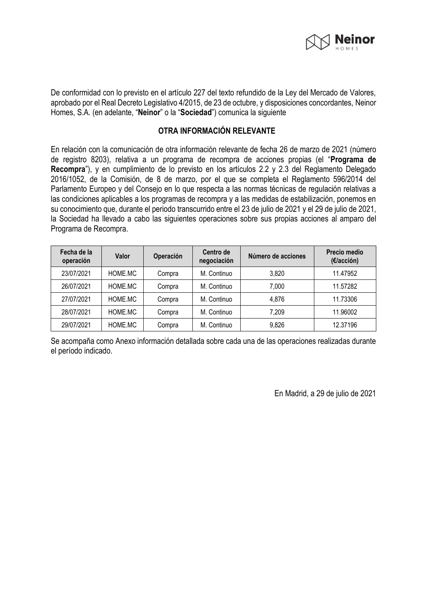

De conformidad con lo previsto en el artículo 227 del texto refundido de la Ley del Mercado de Valores, aprobado por el Real Decreto Legislativo 4/2015, de 23 de octubre, y disposiciones concordantes, Neinor Homes, S.A. (en adelante, "**Neinor**" o la "**Sociedad**") comunica la siguiente

## **OTRA INFORMACIÓN RELEVANTE**

En relación con la comunicación de otra información relevante de fecha 26 de marzo de 2021 (número de registro 8203), relativa a un programa de recompra de acciones propias (el "**Programa de Recompra**"), y en cumplimiento de lo previsto en los artículos 2.2 y 2.3 del Reglamento Delegado 2016/1052, de la Comisión, de 8 de marzo, por el que se completa el Reglamento 596/2014 del Parlamento Europeo y del Consejo en lo que respecta a las normas técnicas de regulación relativas a las condiciones aplicables a los programas de recompra y a las medidas de estabilización, ponemos en su conocimiento que, durante el periodo transcurrido entre el 23 de julio de 2021 y el 29 de julio de 2021, la Sociedad ha llevado a cabo las siguientes operaciones sobre sus propias acciones al amparo del Programa de Recompra.

| Fecha de la<br>operación | Valor   | Operación | Centro de<br>negociación | Número de acciones | Precio medio<br>(€/acción) |
|--------------------------|---------|-----------|--------------------------|--------------------|----------------------------|
| 23/07/2021               | HOME.MC | Compra    | M. Continuo              | 3,820              | 11.47952                   |
| 26/07/2021               | HOME.MC | Compra    | M. Continuo              | 7,000              | 11.57282                   |
| 27/07/2021               | HOME.MC | Compra    | M. Continuo              | 4,876              | 11.73306                   |
| 28/07/2021               | HOME.MC | Compra    | M. Continuo              | 7,209              | 11.96002                   |
| 29/07/2021               | HOME.MC | Compra    | M. Continuo              | 9,826              | 12.37196                   |

Se acompaña como Anexo información detallada sobre cada una de las operaciones realizadas durante el período indicado.

En Madrid, a 29 de julio de 2021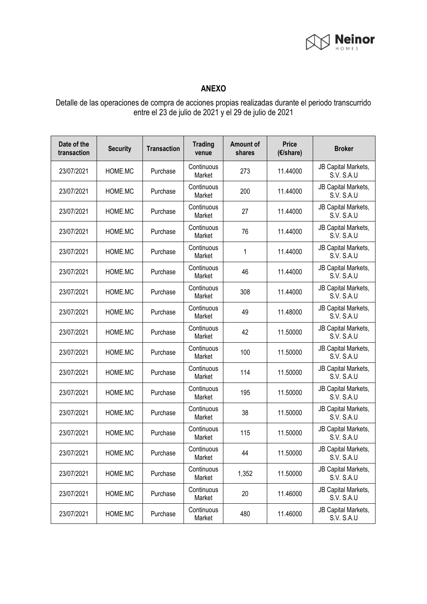

## **ANEXO**

Detalle de las operaciones de compra de acciones propias realizadas durante el periodo transcurrido entre el 23 de julio de 2021 y el 29 de julio de 2021

| Date of the<br>transaction | <b>Security</b> | <b>Transaction</b> | <b>Trading</b><br>venue | <b>Amount of</b><br>shares | <b>Price</b><br>(€/share) | <b>Broker</b>                            |
|----------------------------|-----------------|--------------------|-------------------------|----------------------------|---------------------------|------------------------------------------|
| 23/07/2021                 | HOME.MC         | Purchase           | Continuous<br>Market    | 273                        | 11.44000                  | JB Capital Markets,<br><b>S.V. S.A.U</b> |
| 23/07/2021                 | HOME.MC         | Purchase           | Continuous<br>Market    | 200                        | 11.44000                  | JB Capital Markets,<br><b>S.V. S.A.U</b> |
| 23/07/2021                 | HOME.MC         | Purchase           | Continuous<br>Market    | 27                         | 11.44000                  | JB Capital Markets,<br>S.V. S.A.U        |
| 23/07/2021                 | HOME.MC         | Purchase           | Continuous<br>Market    | 76                         | 11.44000                  | JB Capital Markets,<br>S.V. S.A.U        |
| 23/07/2021                 | HOME.MC         | Purchase           | Continuous<br>Market    | 1                          | 11.44000                  | JB Capital Markets,<br>S.V. S.A.U        |
| 23/07/2021                 | HOME.MC         | Purchase           | Continuous<br>Market    | 46                         | 11.44000                  | JB Capital Markets,<br>S.V. S.A.U        |
| 23/07/2021                 | HOME.MC         | Purchase           | Continuous<br>Market    | 308                        | 11.44000                  | JB Capital Markets,<br>S.V. S.A.U        |
| 23/07/2021                 | HOME.MC         | Purchase           | Continuous<br>Market    | 49                         | 11.48000                  | JB Capital Markets,<br>S.V. S.A.U        |
| 23/07/2021                 | HOME.MC         | Purchase           | Continuous<br>Market    | 42                         | 11.50000                  | JB Capital Markets,<br>S.V. S.A.U        |
| 23/07/2021                 | HOME.MC         | Purchase           | Continuous<br>Market    | 100                        | 11.50000                  | JB Capital Markets,<br>S.V. S.A.U        |
| 23/07/2021                 | HOME.MC         | Purchase           | Continuous<br>Market    | 114                        | 11.50000                  | JB Capital Markets,<br>S.V. S.A.U        |
| 23/07/2021                 | HOME.MC         | Purchase           | Continuous<br>Market    | 195                        | 11.50000                  | JB Capital Markets,<br><b>S.V. S.A.U</b> |
| 23/07/2021                 | HOME.MC         | Purchase           | Continuous<br>Market    | 38                         | 11.50000                  | JB Capital Markets,<br>S.V. S.A.U        |
| 23/07/2021                 | HOME.MC         | Purchase           | Continuous<br>Market    | 115                        | 11.50000                  | JB Capital Markets,<br><b>S.V. S.A.U</b> |
| 23/07/2021                 | HOME.MC         | Purchase           | Continuous<br>Market    | 44                         | 11.50000                  | JB Capital Markets,<br>S.V. S.A.U        |
| 23/07/2021                 | HOME.MC         | Purchase           | Continuous<br>Market    | 1,352                      | 11.50000                  | JB Capital Markets,<br>S.V. S.A.U        |
| 23/07/2021                 | HOME.MC         | Purchase           | Continuous<br>Market    | 20                         | 11.46000                  | JB Capital Markets,<br>S.V. S.A.U        |
| 23/07/2021                 | HOME.MC         | Purchase           | Continuous<br>Market    | 480                        | 11.46000                  | JB Capital Markets,<br>S.V. S.A.U        |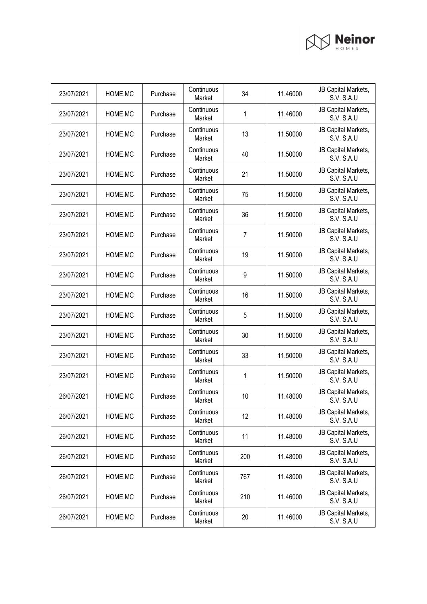

| 23/07/2021 | HOME.MC | Purchase | Continuous<br>Market | 34             | 11.46000 | JB Capital Markets,<br>S.V. S.A.U        |
|------------|---------|----------|----------------------|----------------|----------|------------------------------------------|
| 23/07/2021 | HOME.MC | Purchase | Continuous<br>Market | 1              | 11.46000 | JB Capital Markets,<br><b>S.V. S.A.U</b> |
| 23/07/2021 | HOME.MC | Purchase | Continuous<br>Market | 13             | 11.50000 | JB Capital Markets,<br>S.V. S.A.U        |
| 23/07/2021 | HOME.MC | Purchase | Continuous<br>Market | 40             | 11.50000 | JB Capital Markets,<br><b>S.V. S.A.U</b> |
| 23/07/2021 | HOME.MC | Purchase | Continuous<br>Market | 21             | 11.50000 | JB Capital Markets,<br><b>S.V. S.A.U</b> |
| 23/07/2021 | HOME.MC | Purchase | Continuous<br>Market | 75             | 11.50000 | JB Capital Markets,<br>S.V. S.A.U        |
| 23/07/2021 | HOME.MC | Purchase | Continuous<br>Market | 36             | 11.50000 | JB Capital Markets,<br><b>S.V. S.A.U</b> |
| 23/07/2021 | HOME.MC | Purchase | Continuous<br>Market | $\overline{7}$ | 11.50000 | JB Capital Markets,<br><b>S.V. S.A.U</b> |
| 23/07/2021 | HOME.MC | Purchase | Continuous<br>Market | 19             | 11.50000 | JB Capital Markets,<br><b>S.V. S.A.U</b> |
| 23/07/2021 | HOME.MC | Purchase | Continuous<br>Market | 9              | 11.50000 | JB Capital Markets,<br><b>S.V. S.A.U</b> |
| 23/07/2021 | HOME.MC | Purchase | Continuous<br>Market | 16             | 11.50000 | JB Capital Markets,<br>S.V. S.A.U        |
| 23/07/2021 | HOME.MC | Purchase | Continuous<br>Market | 5              | 11.50000 | JB Capital Markets,<br><b>S.V. S.A.U</b> |
| 23/07/2021 | HOME.MC | Purchase | Continuous<br>Market | 30             | 11.50000 | JB Capital Markets,<br><b>S.V. S.A.U</b> |
| 23/07/2021 | HOME.MC | Purchase | Continuous<br>Market | 33             | 11.50000 | JB Capital Markets,<br>S.V. S.A.U        |
| 23/07/2021 | HOME.MC | Purchase | Continuous<br>Market | 1              | 11.50000 | JB Capital Markets,<br>S.V. S.A.U        |
| 26/07/2021 | HOME.MC | Purchase | Continuous<br>Market | 10             | 11.48000 | JB Capital Markets,<br>S.V. S.A.U        |
| 26/07/2021 | HOME.MC | Purchase | Continuous<br>Market | 12             | 11.48000 | JB Capital Markets,<br>S.V. S.A.U        |
| 26/07/2021 | HOME.MC | Purchase | Continuous<br>Market | 11             | 11.48000 | JB Capital Markets,<br>S.V. S.A.U        |
| 26/07/2021 | HOME.MC | Purchase | Continuous<br>Market | 200            | 11.48000 | JB Capital Markets,<br><b>S.V. S.A.U</b> |
| 26/07/2021 | HOME.MC | Purchase | Continuous<br>Market | 767            | 11.48000 | JB Capital Markets,<br>S.V. S.A.U        |
| 26/07/2021 | HOME.MC | Purchase | Continuous<br>Market | 210            | 11.46000 | JB Capital Markets,<br>S.V. S.A.U        |
| 26/07/2021 | HOME.MC | Purchase | Continuous<br>Market | 20             | 11.46000 | JB Capital Markets,<br>S.V. S.A.U        |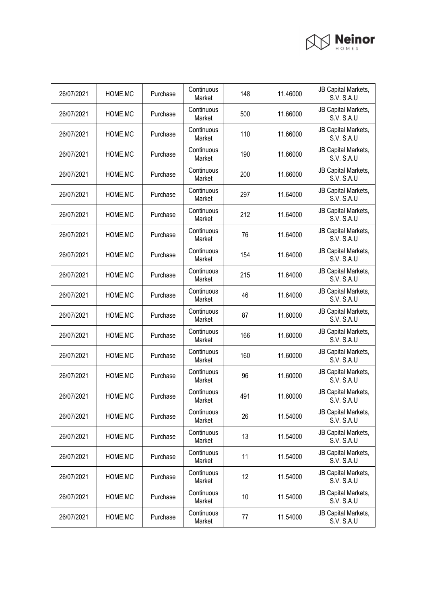

| 26/07/2021 | HOME.MC | Purchase | Continuous<br>Market | 148 | 11.46000 | JB Capital Markets,<br><b>S.V. S.A.U</b> |
|------------|---------|----------|----------------------|-----|----------|------------------------------------------|
| 26/07/2021 | HOME.MC | Purchase | Continuous<br>Market | 500 | 11.66000 | JB Capital Markets,<br>S.V. S.A.U        |
| 26/07/2021 | HOME.MC | Purchase | Continuous<br>Market | 110 | 11.66000 | JB Capital Markets,<br>S.V. S.A.U        |
| 26/07/2021 | HOME.MC | Purchase | Continuous<br>Market | 190 | 11.66000 | JB Capital Markets,<br><b>S.V. S.A.U</b> |
| 26/07/2021 | HOME.MC | Purchase | Continuous<br>Market | 200 | 11.66000 | JB Capital Markets,<br><b>S.V. S.A.U</b> |
| 26/07/2021 | HOME.MC | Purchase | Continuous<br>Market | 297 | 11.64000 | JB Capital Markets,<br>S.V. S.A.U        |
| 26/07/2021 | HOME.MC | Purchase | Continuous<br>Market | 212 | 11.64000 | JB Capital Markets,<br><b>S.V. S.A.U</b> |
| 26/07/2021 | HOME.MC | Purchase | Continuous<br>Market | 76  | 11.64000 | JB Capital Markets,<br>S.V. S.A.U        |
| 26/07/2021 | HOME.MC | Purchase | Continuous<br>Market | 154 | 11.64000 | JB Capital Markets,<br>S.V. S.A.U        |
| 26/07/2021 | HOME.MC | Purchase | Continuous<br>Market | 215 | 11.64000 | JB Capital Markets,<br><b>S.V. S.A.U</b> |
| 26/07/2021 | HOME.MC | Purchase | Continuous<br>Market | 46  | 11.64000 | JB Capital Markets,<br>S.V. S.A.U        |
| 26/07/2021 | HOME.MC | Purchase | Continuous<br>Market | 87  | 11.60000 | JB Capital Markets,<br><b>S.V. S.A.U</b> |
| 26/07/2021 | HOME.MC | Purchase | Continuous<br>Market | 166 | 11.60000 | JB Capital Markets,<br>S.V. S.A.U        |
| 26/07/2021 | HOME.MC | Purchase | Continuous<br>Market | 160 | 11.60000 | JB Capital Markets,<br>S.V. S.A.U        |
| 26/07/2021 | HOME.MC | Purchase | Continuous<br>Market | 96  | 11.60000 | JB Capital Markets,<br>S.V. S.A.U        |
| 26/07/2021 | HOME.MC | Purchase | Continuous<br>Market | 491 | 11.60000 | JB Capital Markets,<br>S.V. S.A.U        |
| 26/07/2021 | HOME.MC | Purchase | Continuous<br>Market | 26  | 11.54000 | JB Capital Markets,<br>S.V. S.A.U        |
| 26/07/2021 | HOME.MC | Purchase | Continuous<br>Market | 13  | 11.54000 | JB Capital Markets,<br>S.V. S.A.U        |
| 26/07/2021 | HOME.MC | Purchase | Continuous<br>Market | 11  | 11.54000 | JB Capital Markets,<br>S.V. S.A.U        |
| 26/07/2021 | HOME.MC | Purchase | Continuous<br>Market | 12  | 11.54000 | JB Capital Markets,<br>S.V. S.A.U        |
| 26/07/2021 | HOME.MC | Purchase | Continuous<br>Market | 10  | 11.54000 | JB Capital Markets,<br>S.V. S.A.U        |
| 26/07/2021 | HOME.MC | Purchase | Continuous<br>Market | 77  | 11.54000 | JB Capital Markets,<br>S.V. S.A.U        |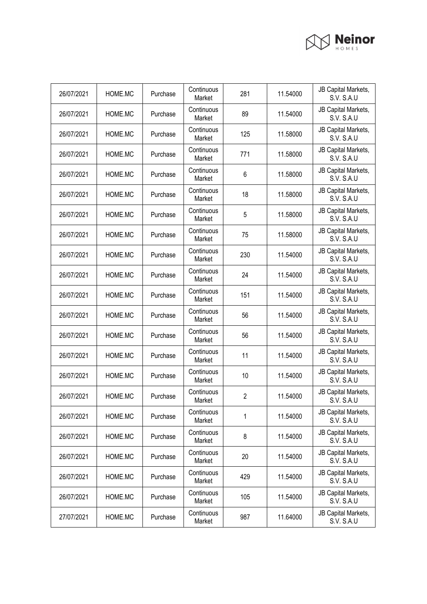

| 26/07/2021 | HOME.MC | Purchase | Continuous<br>Market | 281            | 11.54000 | JB Capital Markets,<br><b>S.V. S.A.U</b> |
|------------|---------|----------|----------------------|----------------|----------|------------------------------------------|
| 26/07/2021 | HOME.MC | Purchase | Continuous<br>Market | 89             | 11.54000 | JB Capital Markets,<br><b>S.V. S.A.U</b> |
| 26/07/2021 | HOME.MC | Purchase | Continuous<br>Market | 125            | 11.58000 | JB Capital Markets,<br>S.V. S.A.U        |
| 26/07/2021 | HOME.MC | Purchase | Continuous<br>Market | 771            | 11.58000 | JB Capital Markets,<br><b>S.V. S.A.U</b> |
| 26/07/2021 | HOME.MC | Purchase | Continuous<br>Market | 6              | 11.58000 | JB Capital Markets,<br>S.V. S.A.U        |
| 26/07/2021 | HOME.MC | Purchase | Continuous<br>Market | 18             | 11.58000 | JB Capital Markets,<br>S.V. S.A.U        |
| 26/07/2021 | HOME.MC | Purchase | Continuous<br>Market | 5              | 11.58000 | JB Capital Markets,<br><b>S.V. S.A.U</b> |
| 26/07/2021 | HOME.MC | Purchase | Continuous<br>Market | 75             | 11.58000 | JB Capital Markets,<br>S.V. S.A.U        |
| 26/07/2021 | HOME.MC | Purchase | Continuous<br>Market | 230            | 11.54000 | JB Capital Markets,<br>S.V. S.A.U        |
| 26/07/2021 | HOME.MC | Purchase | Continuous<br>Market | 24             | 11.54000 | JB Capital Markets,<br><b>S.V. S.A.U</b> |
| 26/07/2021 | HOME.MC | Purchase | Continuous<br>Market | 151            | 11.54000 | JB Capital Markets,<br>S.V. S.A.U        |
| 26/07/2021 | HOME.MC | Purchase | Continuous<br>Market | 56             | 11.54000 | JB Capital Markets,<br>S.V. S.A.U        |
| 26/07/2021 | HOME.MC | Purchase | Continuous<br>Market | 56             | 11.54000 | JB Capital Markets,<br>S.V. S.A.U        |
| 26/07/2021 | HOME.MC | Purchase | Continuous<br>Market | 11             | 11.54000 | JB Capital Markets,<br>S.V. S.A.U        |
| 26/07/2021 | HOME.MC | Purchase | Continuous<br>Market | 10             | 11.54000 | JB Capital Markets,<br>S.V. S.A.U        |
| 26/07/2021 | HOME.MC | Purchase | Continuous<br>Market | $\overline{2}$ | 11.54000 | JB Capital Markets,<br>S.V. S.A.U        |
| 26/07/2021 | HOME.MC | Purchase | Continuous<br>Market | 1              | 11.54000 | JB Capital Markets,<br>S.V. S.A.U        |
| 26/07/2021 | HOME.MC | Purchase | Continuous<br>Market | 8              | 11.54000 | JB Capital Markets,<br>S.V. S.A.U        |
| 26/07/2021 | HOME.MC | Purchase | Continuous<br>Market | 20             | 11.54000 | JB Capital Markets,<br>S.V. S.A.U        |
| 26/07/2021 | HOME.MC | Purchase | Continuous<br>Market | 429            | 11.54000 | JB Capital Markets,<br>S.V. S.A.U        |
| 26/07/2021 | HOME.MC | Purchase | Continuous<br>Market | 105            | 11.54000 | JB Capital Markets,<br>S.V. S.A.U        |
| 27/07/2021 | HOME.MC | Purchase | Continuous<br>Market | 987            | 11.64000 | JB Capital Markets,<br>S.V. S.A.U        |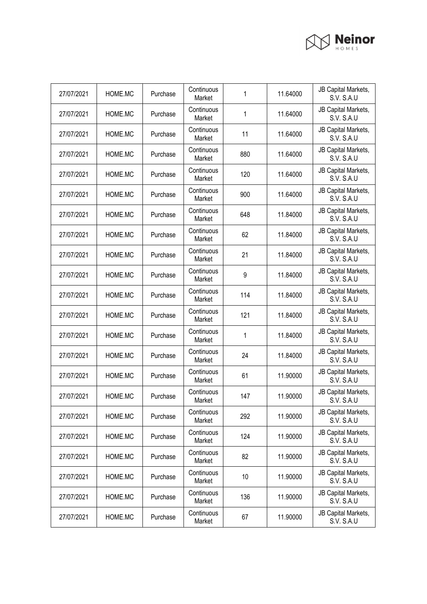

| 27/07/2021 | HOME.MC | Purchase | Continuous<br>Market | 1   | 11.64000 | JB Capital Markets,<br><b>S.V. S.A.U</b> |
|------------|---------|----------|----------------------|-----|----------|------------------------------------------|
| 27/07/2021 | HOME.MC | Purchase | Continuous<br>Market | 1   | 11.64000 | JB Capital Markets,<br><b>S.V. S.A.U</b> |
| 27/07/2021 | HOME.MC | Purchase | Continuous<br>Market | 11  | 11.64000 | JB Capital Markets,<br>S.V. S.A.U        |
| 27/07/2021 | HOME.MC | Purchase | Continuous<br>Market | 880 | 11.64000 | JB Capital Markets,<br><b>S.V. S.A.U</b> |
| 27/07/2021 | HOME.MC | Purchase | Continuous<br>Market | 120 | 11.64000 | JB Capital Markets,<br><b>S.V. S.A.U</b> |
| 27/07/2021 | HOME.MC | Purchase | Continuous<br>Market | 900 | 11.64000 | JB Capital Markets,<br>S.V. S.A.U        |
| 27/07/2021 | HOME.MC | Purchase | Continuous<br>Market | 648 | 11.84000 | JB Capital Markets,<br><b>S.V. S.A.U</b> |
| 27/07/2021 | HOME.MC | Purchase | Continuous<br>Market | 62  | 11.84000 | JB Capital Markets,<br><b>S.V. S.A.U</b> |
| 27/07/2021 | HOME.MC | Purchase | Continuous<br>Market | 21  | 11.84000 | JB Capital Markets,<br>S.V. S.A.U        |
| 27/07/2021 | HOME.MC | Purchase | Continuous<br>Market | 9   | 11.84000 | JB Capital Markets,<br><b>S.V. S.A.U</b> |
| 27/07/2021 | HOME.MC | Purchase | Continuous<br>Market | 114 | 11.84000 | JB Capital Markets,<br>S.V. S.A.U        |
| 27/07/2021 | HOME.MC | Purchase | Continuous<br>Market | 121 | 11.84000 | JB Capital Markets,<br><b>S.V. S.A.U</b> |
| 27/07/2021 | HOME.MC | Purchase | Continuous<br>Market | 1   | 11.84000 | JB Capital Markets,<br>S.V. S.A.U        |
| 27/07/2021 | HOME.MC | Purchase | Continuous<br>Market | 24  | 11.84000 | JB Capital Markets,<br>S.V. S.A.U        |
| 27/07/2021 | HOME.MC | Purchase | Continuous<br>Market | 61  | 11.90000 | JB Capital Markets,<br>S.V. S.A.U        |
| 27/07/2021 | HOME.MC | Purchase | Continuous<br>Market | 147 | 11.90000 | JB Capital Markets,<br>S.V. S.A.U        |
| 27/07/2021 | HOME.MC | Purchase | Continuous<br>Market | 292 | 11.90000 | JB Capital Markets,<br>S.V. S.A.U        |
| 27/07/2021 | HOME.MC | Purchase | Continuous<br>Market | 124 | 11.90000 | JB Capital Markets,<br>S.V. S.A.U        |
| 27/07/2021 | HOME.MC | Purchase | Continuous<br>Market | 82  | 11.90000 | JB Capital Markets,<br>S.V. S.A.U        |
| 27/07/2021 | HOME.MC | Purchase | Continuous<br>Market | 10  | 11.90000 | JB Capital Markets,<br>S.V. S.A.U        |
| 27/07/2021 | HOME.MC | Purchase | Continuous<br>Market | 136 | 11.90000 | JB Capital Markets,<br>S.V. S.A.U        |
| 27/07/2021 | HOME.MC | Purchase | Continuous<br>Market | 67  | 11.90000 | JB Capital Markets,<br>S.V. S.A.U        |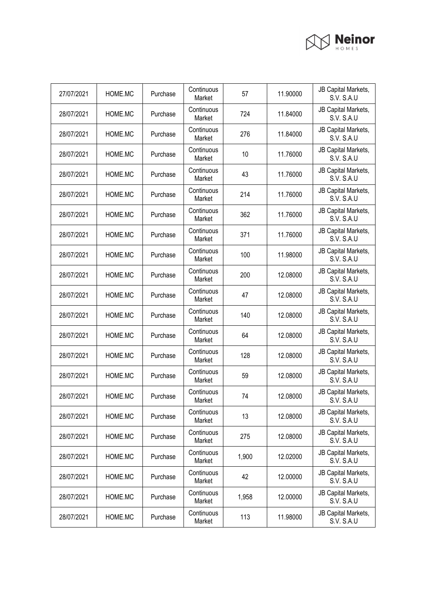

| 27/07/2021 | HOME.MC | Purchase | Continuous<br>Market | 57    | 11.90000 | JB Capital Markets,<br><b>S.V. S.A.U</b> |
|------------|---------|----------|----------------------|-------|----------|------------------------------------------|
| 28/07/2021 | HOME.MC | Purchase | Continuous<br>Market | 724   | 11.84000 | JB Capital Markets,<br><b>S.V. S.A.U</b> |
| 28/07/2021 | HOME.MC | Purchase | Continuous<br>Market | 276   | 11.84000 | JB Capital Markets,<br>S.V. S.A.U        |
| 28/07/2021 | HOME.MC | Purchase | Continuous<br>Market | 10    | 11.76000 | JB Capital Markets,<br><b>S.V. S.A.U</b> |
| 28/07/2021 | HOME.MC | Purchase | Continuous<br>Market | 43    | 11.76000 | JB Capital Markets,<br><b>S.V. S.A.U</b> |
| 28/07/2021 | HOME.MC | Purchase | Continuous<br>Market | 214   | 11.76000 | JB Capital Markets,<br><b>S.V. S.A.U</b> |
| 28/07/2021 | HOME.MC | Purchase | Continuous<br>Market | 362   | 11.76000 | JB Capital Markets,<br>S.V. S.A.U        |
| 28/07/2021 | HOME.MC | Purchase | Continuous<br>Market | 371   | 11.76000 | JB Capital Markets,<br>S.V. S.A.U        |
| 28/07/2021 | HOME.MC | Purchase | Continuous<br>Market | 100   | 11.98000 | JB Capital Markets,<br><b>S.V. S.A.U</b> |
| 28/07/2021 | HOME.MC | Purchase | Continuous<br>Market | 200   | 12.08000 | JB Capital Markets,<br><b>S.V. S.A.U</b> |
| 28/07/2021 | HOME.MC | Purchase | Continuous<br>Market | 47    | 12.08000 | JB Capital Markets,<br>S.V. S.A.U        |
| 28/07/2021 | HOME.MC | Purchase | Continuous<br>Market | 140   | 12.08000 | JB Capital Markets,<br><b>S.V. S.A.U</b> |
| 28/07/2021 | HOME.MC | Purchase | Continuous<br>Market | 64    | 12.08000 | JB Capital Markets,<br>S.V. S.A.U        |
| 28/07/2021 | HOME.MC | Purchase | Continuous<br>Market | 128   | 12.08000 | JB Capital Markets,<br>S.V. S.A.U        |
| 28/07/2021 | HOME.MC | Purchase | Continuous<br>Market | 59    | 12.08000 | JB Capital Markets,<br><b>S.V. S.A.U</b> |
| 28/07/2021 | HOME.MC | Purchase | Continuous<br>Market | 74    | 12.08000 | JB Capital Markets,<br>S.V. S.A.U        |
| 28/07/2021 | HOME.MC | Purchase | Continuous<br>Market | 13    | 12.08000 | JB Capital Markets,<br><b>S.V. S.A.U</b> |
| 28/07/2021 | HOME.MC | Purchase | Continuous<br>Market | 275   | 12.08000 | JB Capital Markets,<br>S.V. S.A.U        |
| 28/07/2021 | HOME.MC | Purchase | Continuous<br>Market | 1,900 | 12.02000 | JB Capital Markets,<br>S.V. S.A.U        |
| 28/07/2021 | HOME.MC | Purchase | Continuous<br>Market | 42    | 12.00000 | JB Capital Markets,<br>S.V. S.A.U        |
| 28/07/2021 | HOME.MC | Purchase | Continuous<br>Market | 1,958 | 12.00000 | JB Capital Markets,<br>S.V. S.A.U        |
| 28/07/2021 | HOME.MC | Purchase | Continuous<br>Market | 113   | 11.98000 | JB Capital Markets,<br>S.V. S.A.U        |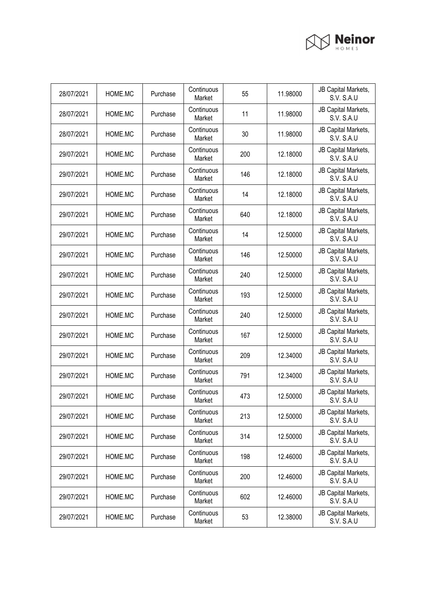

| 28/07/2021 | HOME.MC | Purchase | Continuous<br>Market | 55  | 11.98000 | JB Capital Markets,<br><b>S.V. S.A.U</b> |
|------------|---------|----------|----------------------|-----|----------|------------------------------------------|
| 28/07/2021 | HOME.MC | Purchase | Continuous<br>Market | 11  | 11.98000 | JB Capital Markets,<br><b>S.V. S.A.U</b> |
| 28/07/2021 | HOME.MC | Purchase | Continuous<br>Market | 30  | 11.98000 | JB Capital Markets,<br>S.V. S.A.U        |
| 29/07/2021 | HOME.MC | Purchase | Continuous<br>Market | 200 | 12.18000 | JB Capital Markets,<br><b>S.V. S.A.U</b> |
| 29/07/2021 | HOME.MC | Purchase | Continuous<br>Market | 146 | 12.18000 | JB Capital Markets,<br><b>S.V. S.A.U</b> |
| 29/07/2021 | HOME.MC | Purchase | Continuous<br>Market | 14  | 12.18000 | JB Capital Markets,<br>S.V. S.A.U        |
| 29/07/2021 | HOME.MC | Purchase | Continuous<br>Market | 640 | 12.18000 | JB Capital Markets,<br><b>S.V. S.A.U</b> |
| 29/07/2021 | HOME.MC | Purchase | Continuous<br>Market | 14  | 12.50000 | JB Capital Markets,<br>S.V. S.A.U        |
| 29/07/2021 | HOME.MC | Purchase | Continuous<br>Market | 146 | 12.50000 | JB Capital Markets,<br>S.V. S.A.U        |
| 29/07/2021 | HOME.MC | Purchase | Continuous<br>Market | 240 | 12.50000 | JB Capital Markets,<br><b>S.V. S.A.U</b> |
| 29/07/2021 | HOME.MC | Purchase | Continuous<br>Market | 193 | 12.50000 | JB Capital Markets,<br>S.V. S.A.U        |
| 29/07/2021 | HOME.MC | Purchase | Continuous<br>Market | 240 | 12.50000 | JB Capital Markets,<br>S.V. S.A.U        |
| 29/07/2021 | HOME.MC | Purchase | Continuous<br>Market | 167 | 12.50000 | JB Capital Markets,<br>S.V. S.A.U        |
| 29/07/2021 | HOME.MC | Purchase | Continuous<br>Market | 209 | 12.34000 | JB Capital Markets,<br>S.V. S.A.U        |
| 29/07/2021 | HOME.MC | Purchase | Continuous<br>Market | 791 | 12.34000 | JB Capital Markets,<br>S.V. S.A.U        |
| 29/07/2021 | HOME.MC | Purchase | Continuous<br>Market | 473 | 12.50000 | JB Capital Markets,<br>S.V. S.A.U        |
| 29/07/2021 | HOME.MC | Purchase | Continuous<br>Market | 213 | 12.50000 | JB Capital Markets,<br>S.V. S.A.U        |
| 29/07/2021 | HOME.MC | Purchase | Continuous<br>Market | 314 | 12.50000 | JB Capital Markets,<br>S.V. S.A.U        |
| 29/07/2021 | HOME.MC | Purchase | Continuous<br>Market | 198 | 12.46000 | JB Capital Markets,<br>S.V. S.A.U        |
| 29/07/2021 | HOME.MC | Purchase | Continuous<br>Market | 200 | 12.46000 | JB Capital Markets,<br>S.V. S.A.U        |
| 29/07/2021 | HOME.MC | Purchase | Continuous<br>Market | 602 | 12.46000 | JB Capital Markets,<br>S.V. S.A.U        |
| 29/07/2021 | HOME.MC | Purchase | Continuous<br>Market | 53  | 12.38000 | JB Capital Markets,<br>S.V. S.A.U        |